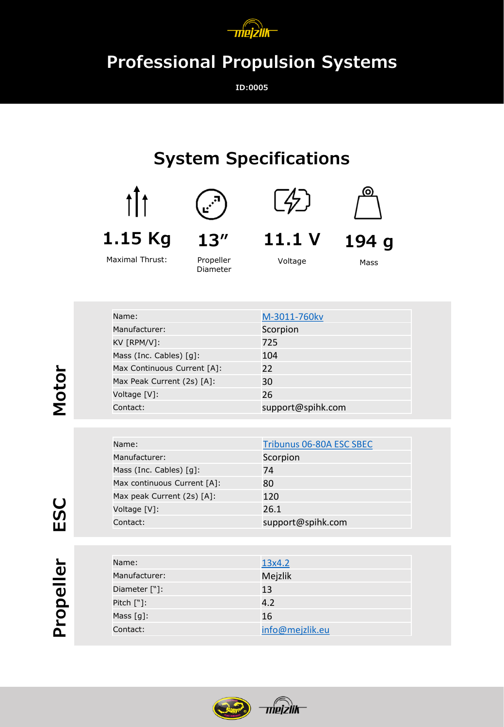

## **Professional Propulsion Systems**

**ID:0005**

## **System Specifications**





Maximal Thrust:



Propeller Diameter





**11.1 V**

Voltage

Mass

**194 g**

| Name:                       | M-3011-760kv      |
|-----------------------------|-------------------|
| Manufacturer:               | Scorpion          |
| KV [RPM/V]:                 | 725               |
| Mass (Inc. Cables) [g]:     | 104               |
| Max Continuous Current [A]: | 22                |
| Max Peak Current (2s) [A]:  | 30                |
| Voltage [V]:                | 26                |
| Contact:                    | support@spihk.com |

| Name:                                  | Tribunus 06-80A ESC SBEC |
|----------------------------------------|--------------------------|
| Manufacturer:                          | Scorpion                 |
| Mass (Inc. Cables) $\lceil q \rceil$ : | 74                       |
| Max continuous Current [A]:            | 80                       |
| Max peak Current (2s) [A]:             | 120                      |
| Voltage [V]:                           | 26.1                     |
| Contact:                               | support@spihk.com        |

| и<br>Φ |
|--------|
| Φ      |
| C      |
| ⊐      |
|        |

**ESC**